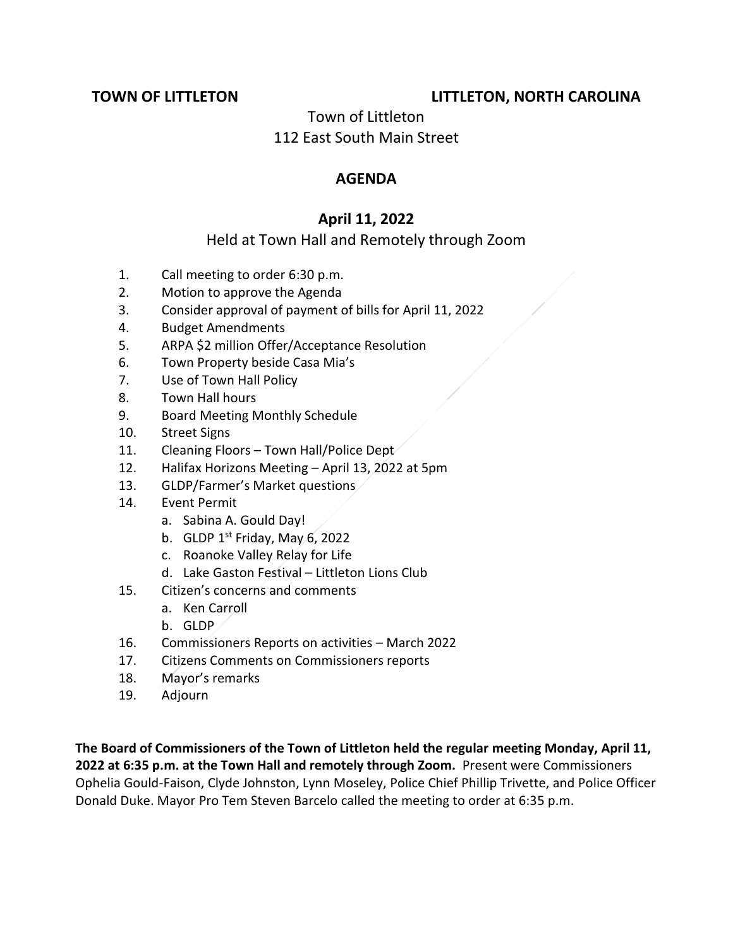# **TOWN OF LITTLETON LITTLETON, NORTH CAROLINA**

### Town of Littleton 112 East South Main Street

### **AGENDA**

# **April 11, 2022**

# Held at Town Hall and Remotely through Zoom

- 1. Call meeting to order 6:30 p.m.
- 2. Motion to approve the Agenda
- 3. Consider approval of payment of bills for April 11, 2022
- 4. Budget Amendments
- 5. ARPA \$2 million Offer/Acceptance Resolution
- 6. Town Property beside Casa Mia's
- 7. Use of Town Hall Policy
- 8. Town Hall hours
- 9. Board Meeting Monthly Schedule
- 10. Street Signs
- 11. Cleaning Floors Town Hall/Police Dept
- 12. Halifax Horizons Meeting April 13, 2022 at 5pm
- 13. GLDP/Farmer's Market questions
- 14. Event Permit
	- a. Sabina A. Gould Day!
	- b. GLDP  $1^{st}$  Friday, May 6, 2022
	- c. Roanoke Valley Relay for Life
	- d. Lake Gaston Festival Littleton Lions Club
- 15. Citizen's concerns and comments
	- a. Ken Carroll
	- b. GLDP
- 16. Commissioners Reports on activities March 2022
- 17. Citizens Comments on Commissioners reports
- 18. Mayor's remarks
- 19. Adjourn

**The Board of Commissioners of the Town of Littleton held the regular meeting Monday, April 11, 2022 at 6:35 p.m. at the Town Hall and remotely through Zoom.** Present were Commissioners Ophelia Gould-Faison, Clyde Johnston, Lynn Moseley, Police Chief Phillip Trivette, and Police Officer Donald Duke. Mayor Pro Tem Steven Barcelo called the meeting to order at 6:35 p.m.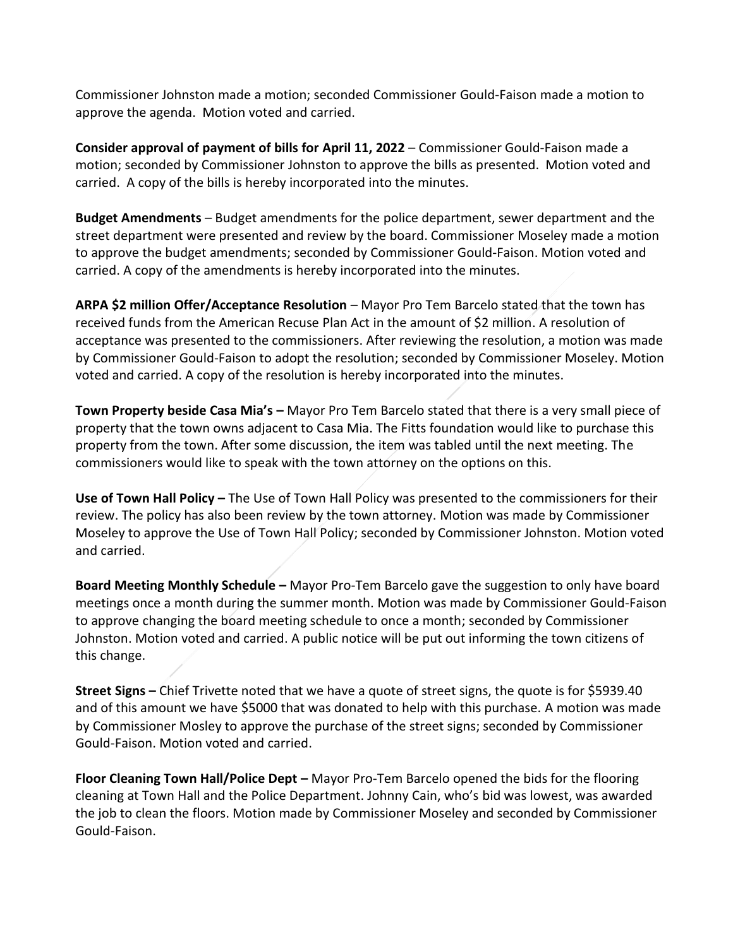Commissioner Johnston made a motion; seconded Commissioner Gould-Faison made a motion to approve the agenda. Motion voted and carried.

**Consider approval of payment of bills for April 11, 2022** – Commissioner Gould-Faison made a motion; seconded by Commissioner Johnston to approve the bills as presented. Motion voted and carried. A copy of the bills is hereby incorporated into the minutes.

**Budget Amendments** – Budget amendments for the police department, sewer department and the street department were presented and review by the board. Commissioner Moseley made a motion to approve the budget amendments; seconded by Commissioner Gould-Faison. Motion voted and carried. A copy of the amendments is hereby incorporated into the minutes.

**ARPA \$2 million Offer/Acceptance Resolution** – Mayor Pro Tem Barcelo stated that the town has received funds from the American Recuse Plan Act in the amount of \$2 million. A resolution of acceptance was presented to the commissioners. After reviewing the resolution, a motion was made by Commissioner Gould-Faison to adopt the resolution; seconded by Commissioner Moseley. Motion voted and carried. A copy of the resolution is hereby incorporated into the minutes.

**Town Property beside Casa Mia's –** Mayor Pro Tem Barcelo stated that there is a very small piece of property that the town owns adjacent to Casa Mia. The Fitts foundation would like to purchase this property from the town. After some discussion, the item was tabled until the next meeting. The commissioners would like to speak with the town attorney on the options on this.

**Use of Town Hall Policy –** The Use of Town Hall Policy was presented to the commissioners for their review. The policy has also been review by the town attorney. Motion was made by Commissioner Moseley to approve the Use of Town Hall Policy; seconded by Commissioner Johnston. Motion voted and carried.

**Board Meeting Monthly Schedule –** Mayor Pro-Tem Barcelo gave the suggestion to only have board meetings once a month during the summer month. Motion was made by Commissioner Gould-Faison to approve changing the board meeting schedule to once a month; seconded by Commissioner Johnston. Motion voted and carried. A public notice will be put out informing the town citizens of this change.

**Street Signs –** Chief Trivette noted that we have a quote of street signs, the quote is for \$5939.40 and of this amount we have \$5000 that was donated to help with this purchase. A motion was made by Commissioner Mosley to approve the purchase of the street signs; seconded by Commissioner Gould-Faison. Motion voted and carried.

**Floor Cleaning Town Hall/Police Dept –** Mayor Pro-Tem Barcelo opened the bids for the flooring cleaning at Town Hall and the Police Department. Johnny Cain, who's bid was lowest, was awarded the job to clean the floors. Motion made by Commissioner Moseley and seconded by Commissioner Gould-Faison.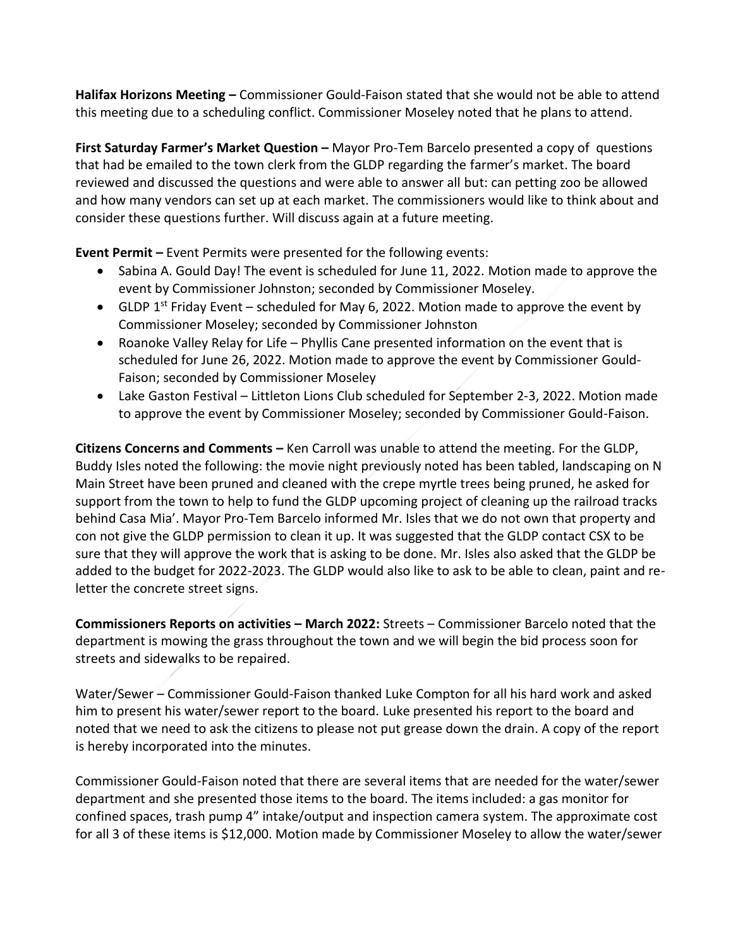**Halifax Horizons Meeting –** Commissioner Gould-Faison stated that she would not be able to attend this meeting due to a scheduling conflict. Commissioner Moseley noted that he plans to attend.

**First Saturday Farmer's Market Question –** Mayor Pro-Tem Barcelo presented a copy of questions that had be emailed to the town clerk from the GLDP regarding the farmer's market. The board reviewed and discussed the questions and were able to answer all but: can petting zoo be allowed and how many vendors can set up at each market. The commissioners would like to think about and consider these questions further. Will discuss again at a future meeting.

**Event Permit –** Event Permits were presented for the following events:

- Sabina A. Gould Day! The event is scheduled for June 11, 2022. Motion made to approve the event by Commissioner Johnston; seconded by Commissioner Moseley.
- GLDP 1<sup>st</sup> Friday Event scheduled for May 6, 2022. Motion made to approve the event by Commissioner Moseley; seconded by Commissioner Johnston
- Roanoke Valley Relay for Life Phyllis Cane presented information on the event that is scheduled for June 26, 2022. Motion made to approve the event by Commissioner Gould-Faison; seconded by Commissioner Moseley
- Lake Gaston Festival Littleton Lions Club scheduled for September 2-3, 2022. Motion made to approve the event by Commissioner Moseley; seconded by Commissioner Gould-Faison.

**Citizens Concerns and Comments –** Ken Carroll was unable to attend the meeting. For the GLDP, Buddy Isles noted the following: the movie night previously noted has been tabled, landscaping on N Main Street have been pruned and cleaned with the crepe myrtle trees being pruned, he asked for support from the town to help to fund the GLDP upcoming project of cleaning up the railroad tracks behind Casa Mia'. Mayor Pro-Tem Barcelo informed Mr. Isles that we do not own that property and con not give the GLDP permission to clean it up. It was suggested that the GLDP contact CSX to be sure that they will approve the work that is asking to be done. Mr. Isles also asked that the GLDP be added to the budget for 2022-2023. The GLDP would also like to ask to be able to clean, paint and reletter the concrete street signs.

**Commissioners Reports on activities – March 2022:** Streets – Commissioner Barcelo noted that the department is mowing the grass throughout the town and we will begin the bid process soon for streets and sidewalks to be repaired.

Water/Sewer – Commissioner Gould-Faison thanked Luke Compton for all his hard work and asked him to present his water/sewer report to the board. Luke presented his report to the board and noted that we need to ask the citizens to please not put grease down the drain. A copy of the report is hereby incorporated into the minutes.

Commissioner Gould-Faison noted that there are several items that are needed for the water/sewer department and she presented those items to the board. The items included: a gas monitor for confined spaces, trash pump 4" intake/output and inspection camera system. The approximate cost for all 3 of these items is \$12,000. Motion made by Commissioner Moseley to allow the water/sewer